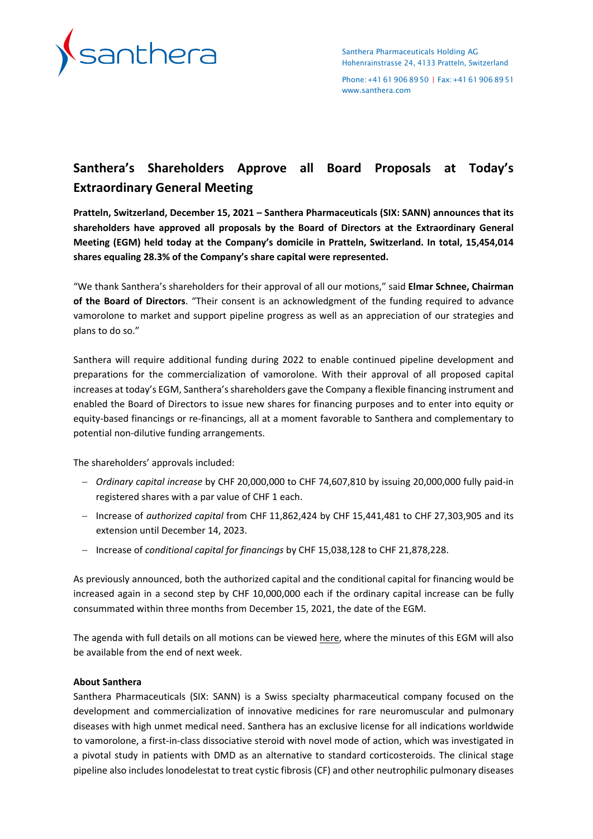

Santhera Pharmaceuticals Holding AG Hohenrainstrasse 24, 4133 Pratteln, Switzerland

Phone:+41619068950 | Fax:+41619068951 [www.santhera.com](http://www.santhera.com/)

## **Santhera's Shareholders Approve all Board Proposals at Today's Extraordinary General Meeting**

**Pratteln, Switzerland, December 15, 2021 – Santhera Pharmaceuticals (SIX: SANN) announces that its shareholders have approved all proposals by the Board of Directors at the Extraordinary General Meeting (EGM) held today at the Company's domicile in Pratteln, Switzerland. In total, 15,454,014 shares equaling 28.3% of the Company's share capital were represented.** 

"We thank Santhera's shareholders for their approval of all our motions," said **Elmar Schnee, Chairman of the Board of Directors**. "Their consent is an acknowledgment of the funding required to advance vamorolone to market and support pipeline progress as well as an appreciation of our strategies and plans to do so."

Santhera will require additional funding during 2022 to enable continued pipeline development and preparations for the commercialization of vamorolone. With their approval of all proposed capital increases at today's EGM, Santhera's shareholders gave the Company a flexible financing instrument and enabled the Board of Directors to issue new shares for financing purposes and to enter into equity or equity-based financings or re-financings, all at a moment favorable to Santhera and complementary to potential non-dilutive funding arrangements.

The shareholders' approvals included:

- − *Ordinary capital increase* by CHF 20,000,000 to CHF 74,607,810 by issuing 20,000,000 fully paid-in registered shares with a par value of CHF 1 each.
- − Increase of *authorized capital* from CHF 11,862,424 by CHF 15,441,481 to CHF 27,303,905 and its extension until December 14, 2023.
- − Increase of *conditional capital for financings* by CHF 15,038,128 to CHF 21,878,228.

As previously announced, both the authorized capital and the conditional capital for financing would be increased again in a second step by CHF 10,000,000 each if the ordinary capital increase can be fully consummated within three months from December 15, 2021, the date of the EGM.

The agenda with full details on all motions can be viewed [here,](http://www.santhera.com/investors-and-media/investor-toolbox/share-bondholder-meetings) where the minutes of this EGM will also be available from the end of next week.

## **About Santhera**

Santhera Pharmaceuticals (SIX: SANN) is a Swiss specialty pharmaceutical company focused on the development and commercialization of innovative medicines for rare neuromuscular and pulmonary diseases with high unmet medical need. Santhera has an exclusive license for all indications worldwide to vamorolone, a first-in-class dissociative steroid with novel mode of action, which was investigated in a pivotal study in patients with DMD as an alternative to standard corticosteroids. The clinical stage pipeline also includes lonodelestat to treat cystic fibrosis (CF) and other neutrophilic pulmonary diseases